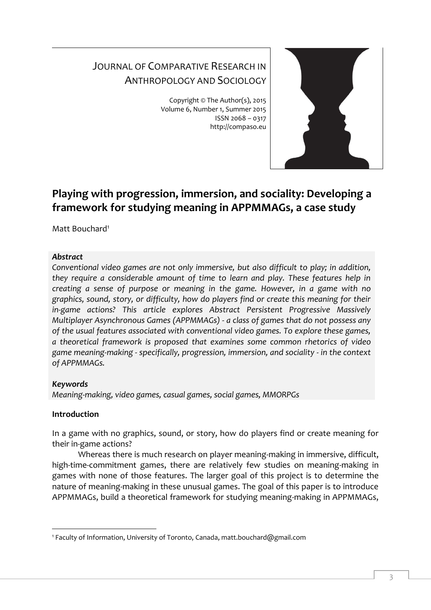# JOURNAL OF COMPARATIVE RESEARCH IN ANTHROPOLOGY AND SOCIOLOGY

Copyright © The Author(s), 2015 Volume 6, Number 1, Summer 2015 ISSN 2068 – 0317 http://compaso.eu



# **Playing with progression, immersion, and sociality: Developing a framework for studying meaning in APPMMAGs, a case study**

Matt Bouchard<sup>1</sup>

## *Abstract*

*Conventional video games are not only immersive, but also difficult to play; in addition, they require a considerable amount of time to learn and play. These features help in creating a sense of purpose or meaning in the game. However, in a game with no graphics, sound, story, or difficulty, how do players find or create this meaning for their in-game actions? This article explores Abstract Persistent Progressive Massively Multiplayer Asynchronous Games (APPMMAGs) - a class of games that do not possess any of the usual features associated with conventional video games. To explore these games, a theoretical framework is proposed that examines some common rhetorics of video game meaning-making - specifically, progression, immersion, and sociality - in the context of APPMMAGs.*

# *Keywords*

*Meaning-making, video games, casual games, social games, MMORPGs*

# **Introduction**

-

In a game with no graphics, sound, or story, how do players find or create meaning for their in-game actions?

Whereas there is much research on player meaning-making in immersive, difficult, high-time-commitment games, there are relatively few studies on meaning-making in games with none of those features. The larger goal of this project is to determine the nature of meaning-making in these unusual games. The goal of this paper is to introduce APPMMAGs, build a theoretical framework for studying meaning-making in APPMMAGs,

<sup>1</sup> Faculty of Information, University of Toronto, Canada, matt.bouchard@gmail.com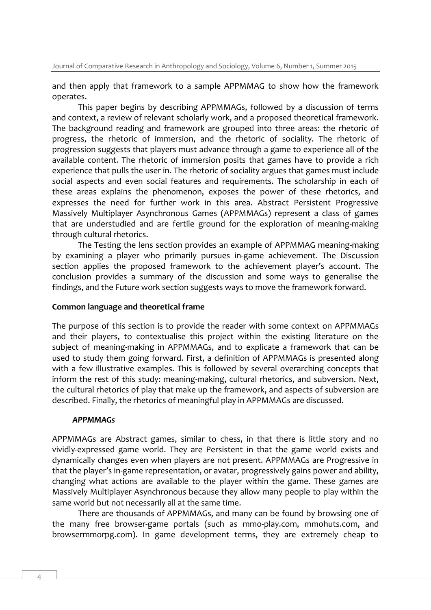and then apply that framework to a sample APPMMAG to show how the framework operates.

This paper begins by describing APPMMAGs, followed by a discussion of terms and context, a review of relevant scholarly work, and a proposed theoretical framework. The background reading and framework are grouped into three areas: the rhetoric of progress, the rhetoric of immersion, and the rhetoric of sociality. The rhetoric of progression suggests that players must advance through a game to experience all of the available content. The rhetoric of immersion posits that games have to provide a rich experience that pulls the user in. The rhetoric of sociality argues that games must include social aspects and even social features and requirements. The scholarship in each of these areas explains the phenomenon, exposes the power of these rhetorics, and expresses the need for further work in this area. Abstract Persistent Progressive Massively Multiplayer Asynchronous Games (APPMMAGs) represent a class of games that are understudied and are fertile ground for the exploration of meaning-making through cultural rhetorics.

The Testing the lens section provides an example of APPMMAG meaning-making by examining a player who primarily pursues in-game achievement. The Discussion section applies the proposed framework to the achievement player's account. The conclusion provides a summary of the discussion and some ways to generalise the findings, and the Future work section suggests ways to move the framework forward.

#### **Common language and theoretical frame**

The purpose of this section is to provide the reader with some context on APPMMAGs and their players, to contextualise this project within the existing literature on the subject of meaning-making in APPMMAGs, and to explicate a framework that can be used to study them going forward. First, a definition of APPMMAGs is presented along with a few illustrative examples. This is followed by several overarching concepts that inform the rest of this study: meaning-making, cultural rhetorics, and subversion. Next, the cultural rhetorics of play that make up the framework, and aspects of subversion are described. Finally, the rhetorics of meaningful play in APPMMAGs are discussed.

#### *APPMMAGs*

APPMMAGs are Abstract games, similar to chess, in that there is little story and no vividly-expressed game world. They are Persistent in that the game world exists and dynamically changes even when players are not present. APPMMAGs are Progressive in that the player's in-game representation, or avatar, progressively gains power and ability, changing what actions are available to the player within the game. These games are Massively Multiplayer Asynchronous because they allow many people to play within the same world but not necessarily all at the same time.

There are thousands of APPMMAGs, and many can be found by browsing one of the many free browser-game portals (such as mmo-play.com, mmohuts.com, and browsermmorpg.com). In game development terms, they are extremely cheap to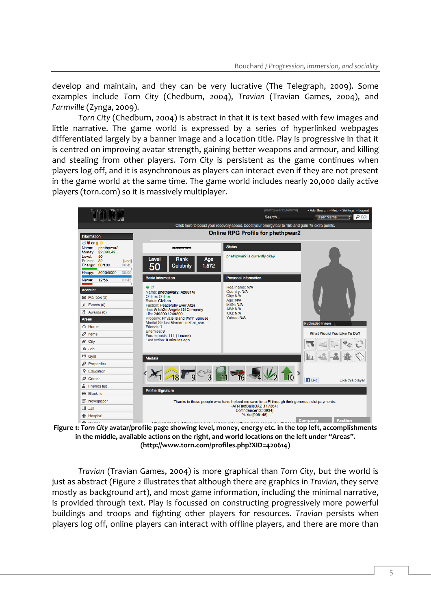develop and maintain, and they can be very lucrative (The Telegraph, 2009). Some examples include *Torn City* (Chedburn, 2004), *Travian* (Travian Games, 2004), and *Farmville* (Zynga, 2009).

*Torn City* (Chedburn, 2004) is abstract in that it is text based with few images and little narrative. The game world is expressed by a series of hyperlinked webpages differentiated largely by a banner image and a location title. Play is progressive in that it is centred on improving avatar strength, gaining better weapons and armour, and killing and stealing from other players. *Torn City* is persistent as the game continues when players log off, and it is asynchronous as players can interact even if they are not present in the game world at the same time. The game world includes nearly 20,000 daily active players (torn.com) so it is massively multiplayer.



**Figure 1:** *Torn City* **avatar/profile page showing level, money, energy etc. in the top left, accomplishments in the middle, available actions on the right, and world locations on the left under "Areas". (http://www.torn.com/profiles.php?XID=420614)**

*Travian* (Travian Games, 2004) is more graphical than *Torn City*, but the world is just as abstract (Figure 2 illustrates that although there are graphics in *Travian*, they serve mostly as background art), and most game information, including the minimal narrative, is provided through text. Play is focussed on constructing progressively more powerful buildings and troops and fighting other players for resources. *Travian* persists when players log off, online players can interact with offline players, and there are more than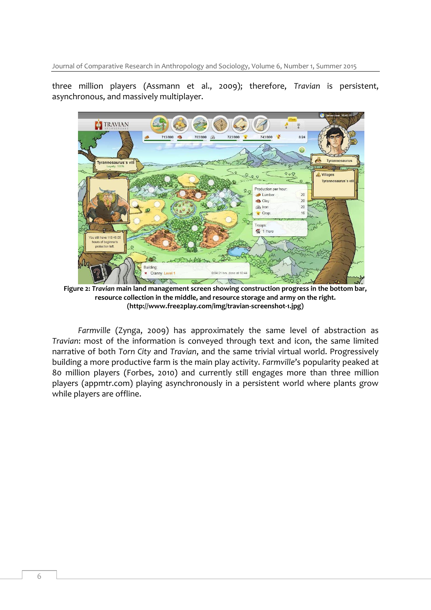three million players (Assmann et al., 2009); therefore, *Travian* is persistent, asynchronous, and massively multiplayer.



**Figure 2:** *Travian* **main land management screen showing construction progress in the bottom bar, resource collection in the middle, and resource storage and army on the right. (http://www.free2play.com/img/travian-screenshot-1.jpg)**

*Farmville* (Zynga, 2009) has approximately the same level of abstraction as *Travian*: most of the information is conveyed through text and icon, the same limited narrative of both *Torn City* and *Travian*, and the same trivial virtual world. Progressively building a more productive farm is the main play activity. *Farmville*'s popularity peaked at 80 million players (Forbes, 2010) and currently still engages more than three million players (appmtr.com) playing asynchronously in a persistent world where plants grow while players are offline.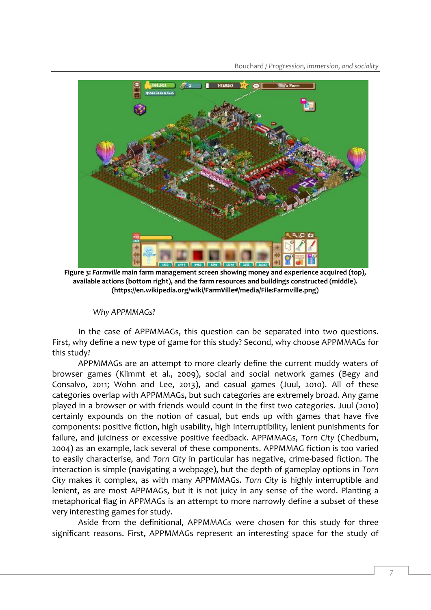

**Figure 3:** *Farmville* **main farm management screen showing money and experience acquired (top), available actions (bottom right), and the farm resources and buildings constructed (middle). (https://en.wikipedia.org/wiki/FarmVille#/media/File:Farmville.png)**

#### *Why APPMMAGs?*

In the case of APPMMAGs, this question can be separated into two questions. First, why define a new type of game for this study? Second, why choose APPMMAGs for this study?

APPMMAGs are an attempt to more clearly define the current muddy waters of browser games (Klimmt et al., 2009), social and social network games (Begy and Consalvo, 2011; Wohn and Lee, 2013), and casual games (Juul, 2010). All of these categories overlap with APPMMAGs, but such categories are extremely broad. Any game played in a browser or with friends would count in the first two categories. Juul (2010) certainly expounds on the notion of casual, but ends up with games that have five components: positive fiction, high usability, high interruptibility, lenient punishments for failure, and juiciness or excessive positive feedback. APPMMAGs, *Torn City* (Chedburn, 2004) as an example, lack several of these components. APPMMAG fiction is too varied to easily characterise, and *Torn City* in particular has negative, crime-based fiction. The interaction is simple (navigating a webpage), but the depth of gameplay options in *Torn City* makes it complex, as with many APPMMAGs. *Torn City* is highly interruptible and lenient, as are most APPMAGs, but it is not juicy in any sense of the word. Planting a metaphorical flag in APPMAGs is an attempt to more narrowly define a subset of these very interesting games for study.

Aside from the definitional, APPMMAGs were chosen for this study for three significant reasons. First, APPMMAGs represent an interesting space for the study of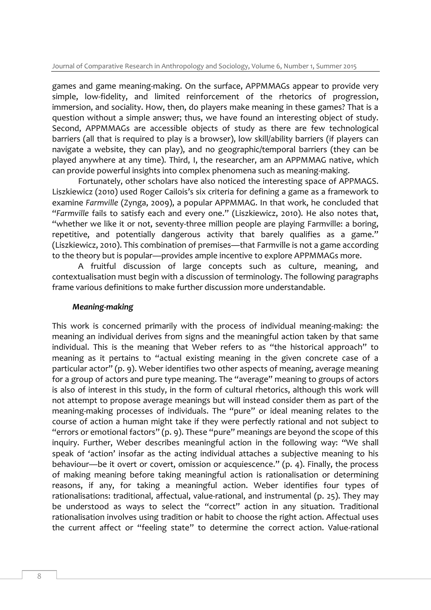games and game meaning-making. On the surface, APPMMAGs appear to provide very simple, low-fidelity, and limited reinforcement of the rhetorics of progression, immersion, and sociality. How, then, do players make meaning in these games? That is a question without a simple answer; thus, we have found an interesting object of study. Second, APPMMAGs are accessible objects of study as there are few technological barriers (all that is required to play is a browser), low skill/ability barriers (if players can navigate a website, they can play), and no geographic/temporal barriers (they can be played anywhere at any time). Third, I, the researcher, am an APPMMAG native, which can provide powerful insights into complex phenomena such as meaning-making.

Fortunately, other scholars have also noticed the interesting space of APPMAGS. Liszkiewicz (2010) used Roger Cailois's six criteria for defining a game as a framework to examine *Farmville* (Zynga, 2009), a popular APPMMAG. In that work, he concluded that "*Farmville* fails to satisfy each and every one." (Liszkiewicz, 2010). He also notes that, "whether we like it or not, seventy-three million people are playing Farmville: a boring, repetitive, and potentially dangerous activity that barely qualifies as a game." (Liszkiewicz, 2010). This combination of premises—that Farmville is not a game according to the theory but is popular—provides ample incentive to explore APPMMAGs more.

A fruitful discussion of large concepts such as culture, meaning, and contextualisation must begin with a discussion of terminology. The following paragraphs frame various definitions to make further discussion more understandable.

#### *Meaning-making*

This work is concerned primarily with the process of individual meaning-making: the meaning an individual derives from signs and the meaningful action taken by that same individual. This is the meaning that Weber refers to as "the historical approach" to meaning as it pertains to "actual existing meaning in the given concrete case of a particular actor" (p. 9). Weber identifies two other aspects of meaning, average meaning for a group of actors and pure type meaning. The "average" meaning to groups of actors is also of interest in this study, in the form of cultural rhetorics, although this work will not attempt to propose average meanings but will instead consider them as part of the meaning-making processes of individuals. The "pure" or ideal meaning relates to the course of action a human might take if they were perfectly rational and not subject to "errors or emotional factors" (p. 9). These "pure" meanings are beyond the scope of this inquiry. Further, Weber describes meaningful action in the following way: "We shall speak of 'action' insofar as the acting individual attaches a subjective meaning to his behaviour—be it overt or covert, omission or acquiescence." (p. 4). Finally, the process of making meaning before taking meaningful action is rationalisation or determining reasons, if any, for taking a meaningful action. Weber identifies four types of rationalisations: traditional, affectual, value-rational, and instrumental (p. 25). They may be understood as ways to select the "correct" action in any situation. Traditional rationalisation involves using tradition or habit to choose the right action. Affectual uses the current affect or "feeling state" to determine the correct action. Value-rational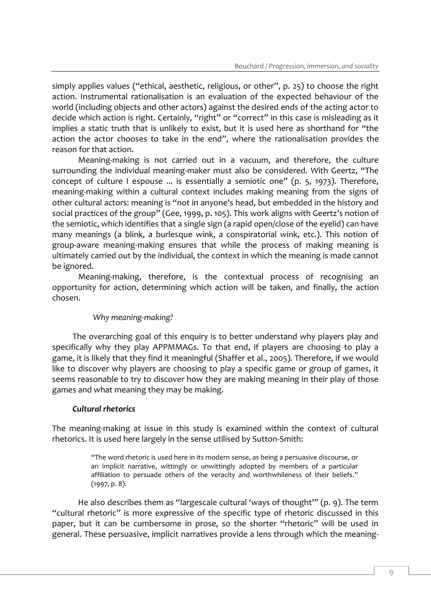simply applies values ("ethical, aesthetic, religious, or other", p. 25) to choose the right action. Instrumental rationalisation is an evaluation of the expected behaviour of the world (including objects and other actors) against the desired ends of the acting actor to decide which action is right. Certainly, "right" or "correct" in this case is misleading as it implies a static truth that is unlikely to exist, but it is used here as shorthand for "the action the actor chooses to take in the end", where the rationalisation provides the reason for that action.

Meaning-making is not carried out in a vacuum, and therefore, the culture surrounding the individual meaning-maker must also be considered. With Geertz, "The concept of culture I espouse ... is essentially a semiotic one" (p. 5, 1973). Therefore, meaning-making within a cultural context includes making meaning from the signs of other cultural actors: meaning is "not in anyone's head, but embedded in the history and social practices of the group" (Gee, 1999, p. 105). This work aligns with Geertz's notion of the semiotic, which identifies that a single sign (a rapid open/close of the eyelid) can have many meanings (a blink, a burlesque wink, a conspiratorial wink, etc.). This notion of group-aware meaning-making ensures that while the process of making meaning is ultimately carried out by the individual, the context in which the meaning is made cannot be ignored.

Meaning-making, therefore, is the contextual process of recognising an opportunity for action, determining which action will be taken, and finally, the action chosen.

## *Why meaning-making?*

The overarching goal of this enquiry is to better understand why players play and specifically why they play APPMMAGs. To that end, if players are choosing to play a game, it is likely that they find it meaningful (Shaffer et al., 2005). Therefore, if we would like to discover why players are choosing to play a specific game or group of games, it seems reasonable to try to discover how they are making meaning in their play of those games and what meaning they may be making.

## *Cultural rhetorics*

The meaning-making at issue in this study is examined within the context of cultural rhetorics. It is used here largely in the sense utilised by Sutton-Smith:

> "The word rhetoric is used here in its modern sense, as being a persuasive discourse, or an implicit narrative, wittingly or unwittingly adopted by members of a particular affiliation to persuade others of the veracity and worthwhileness of their beliefs." (1997, p. 8).

He also describes them as "largescale cultural 'ways of thought'" (p. 9). The term "cultural rhetoric" is more expressive of the specific type of rhetoric discussed in this paper, but it can be cumbersome in prose, so the shorter "rhetoric" will be used in general. These persuasive, implicit narratives provide a lens through which the meaning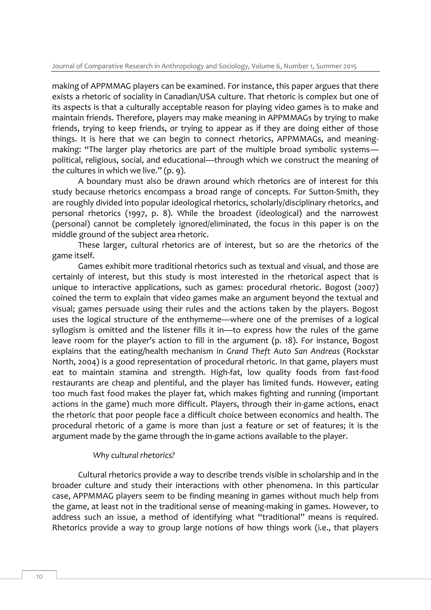making of APPMMAG players can be examined. For instance, this paper argues that there exists a rhetoric of sociality in Canadian/USA culture. That rhetoric is complex but one of its aspects is that a culturally acceptable reason for playing video games is to make and maintain friends. Therefore, players may make meaning in APPMMAGs by trying to make friends, trying to keep friends, or trying to appear as if they are doing either of those things. It is here that we can begin to connect rhetorics, APPMMAGs, and meaningmaking: "The larger play rhetorics are part of the multiple broad symbolic systems political, religious, social, and educational—through which we construct the meaning of the cultures in which we live." (p. 9).

A boundary must also be drawn around which rhetorics are of interest for this study because rhetorics encompass a broad range of concepts. For Sutton-Smith, they are roughly divided into popular ideological rhetorics, scholarly/disciplinary rhetorics, and personal rhetorics (1997, p. 8). While the broadest (ideological) and the narrowest (personal) cannot be completely ignored/eliminated, the focus in this paper is on the middle ground of the subject area rhetoric.

These larger, cultural rhetorics are of interest, but so are the rhetorics of the game itself.

Games exhibit more traditional rhetorics such as textual and visual, and those are certainly of interest, but this study is most interested in the rhetorical aspect that is unique to interactive applications, such as games: procedural rhetoric. Bogost (2007) coined the term to explain that video games make an argument beyond the textual and visual; games persuade using their rules and the actions taken by the players. Bogost uses the logical structure of the enthymeme—where one of the premises of a logical syllogism is omitted and the listener fills it in—to express how the rules of the game leave room for the player's action to fill in the argument (p. 18). For instance, Bogost explains that the eating/health mechanism in *Grand Theft Auto San Andreas* (Rockstar North, 2004) is a good representation of procedural rhetoric. In that game, players must eat to maintain stamina and strength. High-fat, low quality foods from fast-food restaurants are cheap and plentiful, and the player has limited funds. However, eating too much fast food makes the player fat, which makes fighting and running (important actions in the game) much more difficult. Players, through their in-game actions, enact the rhetoric that poor people face a difficult choice between economics and health. The procedural rhetoric of a game is more than just a feature or set of features; it is the argument made by the game through the in-game actions available to the player.

#### *Why cultural rhetorics?*

Cultural rhetorics provide a way to describe trends visible in scholarship and in the broader culture and study their interactions with other phenomena. In this particular case, APPMMAG players seem to be finding meaning in games without much help from the game, at least not in the traditional sense of meaning-making in games. However, to address such an issue, a method of identifying what "traditional" means is required. Rhetorics provide a way to group large notions of how things work (i.e., that players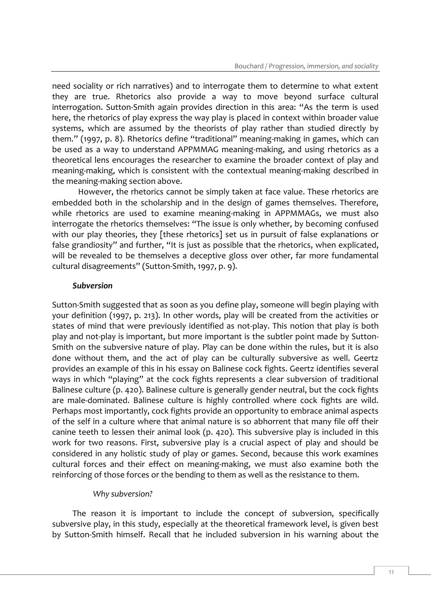need sociality or rich narratives) and to interrogate them to determine to what extent they are true. Rhetorics also provide a way to move beyond surface cultural interrogation. Sutton-Smith again provides direction in this area: "As the term is used here, the rhetorics of play express the way play is placed in context within broader value systems, which are assumed by the theorists of play rather than studied directly by them." (1997, p. 8). Rhetorics define "traditional" meaning-making in games, which can be used as a way to understand APPMMAG meaning-making, and using rhetorics as a theoretical lens encourages the researcher to examine the broader context of play and meaning-making, which is consistent with the contextual meaning-making described in the meaning-making section above.

However, the rhetorics cannot be simply taken at face value. These rhetorics are embedded both in the scholarship and in the design of games themselves. Therefore, while rhetorics are used to examine meaning-making in APPMMAGs, we must also interrogate the rhetorics themselves: "The issue is only whether, by becoming confused with our play theories, they [these rhetorics] set us in pursuit of false explanations or false grandiosity" and further, "It is just as possible that the rhetorics, when explicated, will be revealed to be themselves a deceptive gloss over other, far more fundamental cultural disagreements" (Sutton-Smith, 1997, p. 9).

#### *Subversion*

Sutton-Smith suggested that as soon as you define play, someone will begin playing with your definition (1997, p. 213). In other words, play will be created from the activities or states of mind that were previously identified as not-play. This notion that play is both play and not-play is important, but more important is the subtler point made by Sutton-Smith on the subversive nature of play. Play can be done within the rules, but it is also done without them, and the act of play can be culturally subversive as well. Geertz provides an example of this in his essay on Balinese cock fights. Geertz identifies several ways in which "playing" at the cock fights represents a clear subversion of traditional Balinese culture (p. 420). Balinese culture is generally gender neutral, but the cock fights are male-dominated. Balinese culture is highly controlled where cock fights are wild. Perhaps most importantly, cock fights provide an opportunity to embrace animal aspects of the self in a culture where that animal nature is so abhorrent that many file off their canine teeth to lessen their animal look (p. 420). This subversive play is included in this work for two reasons. First, subversive play is a crucial aspect of play and should be considered in any holistic study of play or games. Second, because this work examines cultural forces and their effect on meaning-making, we must also examine both the reinforcing of those forces or the bending to them as well as the resistance to them.

#### *Why subversion?*

The reason it is important to include the concept of subversion, specifically subversive play, in this study, especially at the theoretical framework level, is given best by Sutton-Smith himself. Recall that he included subversion in his warning about the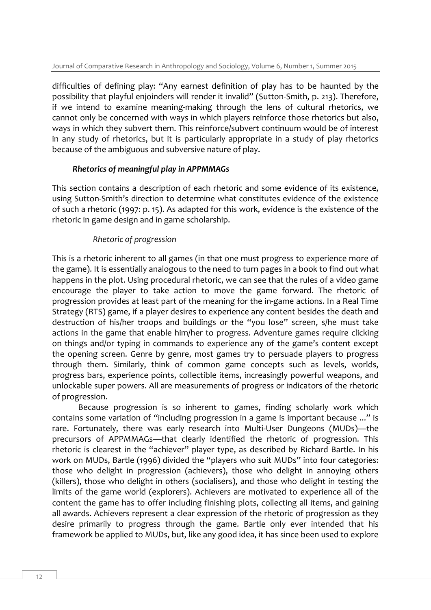difficulties of defining play: "Any earnest definition of play has to be haunted by the possibility that playful enjoinders will render it invalid" (Sutton-Smith, p. 213). Therefore, if we intend to examine meaning-making through the lens of cultural rhetorics, we cannot only be concerned with ways in which players reinforce those rhetorics but also, ways in which they subvert them. This reinforce/subvert continuum would be of interest in any study of rhetorics, but it is particularly appropriate in a study of play rhetorics because of the ambiguous and subversive nature of play.

#### *Rhetorics of meaningful play in APPMMAGs*

This section contains a description of each rhetoric and some evidence of its existence, using Sutton-Smith's direction to determine what constitutes evidence of the existence of such a rhetoric (1997: p. 15). As adapted for this work, evidence is the existence of the rhetoric in game design and in game scholarship.

## *Rhetoric of progression*

This is a rhetoric inherent to all games (in that one must progress to experience more of the game). It is essentially analogous to the need to turn pages in a book to find out what happens in the plot. Using procedural rhetoric, we can see that the rules of a video game encourage the player to take action to move the game forward. The rhetoric of progression provides at least part of the meaning for the in-game actions. In a Real Time Strategy (RTS) game, if a player desires to experience any content besides the death and destruction of his/her troops and buildings or the "you lose" screen, s/he must take actions in the game that enable him/her to progress. Adventure games require clicking on things and/or typing in commands to experience any of the game's content except the opening screen. Genre by genre, most games try to persuade players to progress through them. Similarly, think of common game concepts such as levels, worlds, progress bars, experience points, collectible items, increasingly powerful weapons, and unlockable super powers. All are measurements of progress or indicators of the rhetoric of progression.

Because progression is so inherent to games, finding scholarly work which contains some variation of "including progression in a game is important because ..." is rare. Fortunately, there was early research into Multi-User Dungeons (MUDs)—the precursors of APPMMAGs—that clearly identified the rhetoric of progression. This rhetoric is clearest in the "achiever" player type, as described by Richard Bartle. In his work on MUDs, Bartle (1996) divided the "players who suit MUDs" into four categories: those who delight in progression (achievers), those who delight in annoying others (killers), those who delight in others (socialisers), and those who delight in testing the limits of the game world (explorers). Achievers are motivated to experience all of the content the game has to offer including finishing plots, collecting all items, and gaining all awards. Achievers represent a clear expression of the rhetoric of progression as they desire primarily to progress through the game. Bartle only ever intended that his framework be applied to MUDs, but, like any good idea, it has since been used to explore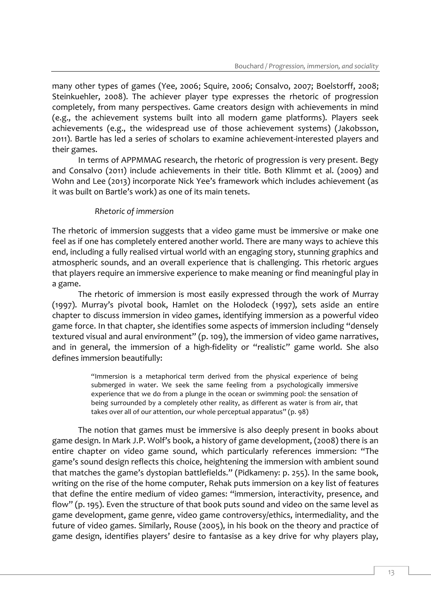many other types of games (Yee, 2006; Squire, 2006; Consalvo, 2007; Boelstorff, 2008; Steinkuehler, 2008). The achiever player type expresses the rhetoric of progression completely, from many perspectives. Game creators design with achievements in mind (e.g., the achievement systems built into all modern game platforms). Players seek achievements (e.g., the widespread use of those achievement systems) (Jakobsson, 2011). Bartle has led a series of scholars to examine achievement-interested players and their games.

In terms of APPMMAG research, the rhetoric of progression is very present. Begy and Consalvo (2011) include achievements in their title. Both Klimmt et al. (2009) and Wohn and Lee (2013) incorporate Nick Yee's framework which includes achievement (as it was built on Bartle's work) as one of its main tenets.

## *Rhetoric of immersion*

The rhetoric of immersion suggests that a video game must be immersive or make one feel as if one has completely entered another world. There are many ways to achieve this end, including a fully realised virtual world with an engaging story, stunning graphics and atmospheric sounds, and an overall experience that is challenging. This rhetoric argues that players require an immersive experience to make meaning or find meaningful play in a game.

The rhetoric of immersion is most easily expressed through the work of Murray (1997). Murray's pivotal book, Hamlet on the Holodeck (1997), sets aside an entire chapter to discuss immersion in video games, identifying immersion as a powerful video game force. In that chapter, she identifies some aspects of immersion including "densely textured visual and aural environment" (p. 109), the immersion of video game narratives, and in general, the immersion of a high-fidelity or "realistic" game world. She also defines immersion beautifully:

> "Immersion is a metaphorical term derived from the physical experience of being submerged in water. We seek the same feeling from a psychologically immersive experience that we do from a plunge in the ocean or swimming pool: the sensation of being surrounded by a completely other reality, as different as water is from air, that takes over all of our attention, our whole perceptual apparatus" (p. 98)

The notion that games must be immersive is also deeply present in books about game design. In Mark J.P. Wolf's book, a history of game development, (2008) there is an entire chapter on video game sound, which particularly references immersion: "The game's sound design reflects this choice, heightening the immersion with ambient sound that matches the game's dystopian battlefields." (Pidkameny: p. 255). In the same book, writing on the rise of the home computer, Rehak puts immersion on a key list of features that define the entire medium of video games: "immersion, interactivity, presence, and flow" (p. 195). Even the structure of that book puts sound and video on the same level as game development, game genre, video game controversy/ethics, intermediality, and the future of video games. Similarly, Rouse (2005), in his book on the theory and practice of game design, identifies players' desire to fantasise as a key drive for why players play,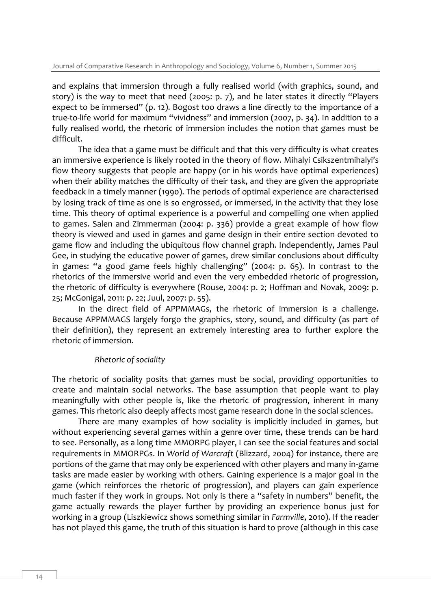and explains that immersion through a fully realised world (with graphics, sound, and story) is the way to meet that need (2005: p. 7), and he later states it directly "Players expect to be immersed" (p. 12). Bogost too draws a line directly to the importance of a true-to-life world for maximum "vividness" and immersion (2007, p. 34). In addition to a fully realised world, the rhetoric of immersion includes the notion that games must be difficult.

The idea that a game must be difficult and that this very difficulty is what creates an immersive experience is likely rooted in the theory of flow. Mihalyi Csikszentmihalyi's flow theory suggests that people are happy (or in his words have optimal experiences) when their ability matches the difficulty of their task, and they are given the appropriate feedback in a timely manner (1990). The periods of optimal experience are characterised by losing track of time as one is so engrossed, or immersed, in the activity that they lose time. This theory of optimal experience is a powerful and compelling one when applied to games. Salen and Zimmerman (2004: p. 336) provide a great example of how flow theory is viewed and used in games and game design in their entire section devoted to game flow and including the ubiquitous flow channel graph. Independently, James Paul Gee, in studying the educative power of games, drew similar conclusions about difficulty in games: "a good game feels highly challenging" (2004: p. 65). In contrast to the rhetorics of the immersive world and even the very embedded rhetoric of progression, the rhetoric of difficulty is everywhere (Rouse, 2004: p. 2; Hoffman and Novak, 2009: p. 25; McGonigal, 2011: p. 22; Juul, 2007: p. 55).

In the direct field of APPMMAGs, the rhetoric of immersion is a challenge. Because APPMMAGS largely forgo the graphics, story, sound, and difficulty (as part of their definition), they represent an extremely interesting area to further explore the rhetoric of immersion.

## *Rhetoric of sociality*

The rhetoric of sociality posits that games must be social, providing opportunities to create and maintain social networks. The base assumption that people want to play meaningfully with other people is, like the rhetoric of progression, inherent in many games. This rhetoric also deeply affects most game research done in the social sciences.

There are many examples of how sociality is implicitly included in games, but without experiencing several games within a genre over time, these trends can be hard to see. Personally, as a long time MMORPG player, I can see the social features and social requirements in MMORPGs. In *World of Warcraft* (Blizzard, 2004) for instance, there are portions of the game that may only be experienced with other players and many in-game tasks are made easier by working with others. Gaining experience is a major goal in the game (which reinforces the rhetoric of progression), and players can gain experience much faster if they work in groups. Not only is there a "safety in numbers" benefit, the game actually rewards the player further by providing an experience bonus just for working in a group (Liszkiewicz shows something similar in *Farmville*, 2010). If the reader has not played this game, the truth of this situation is hard to prove (although in this case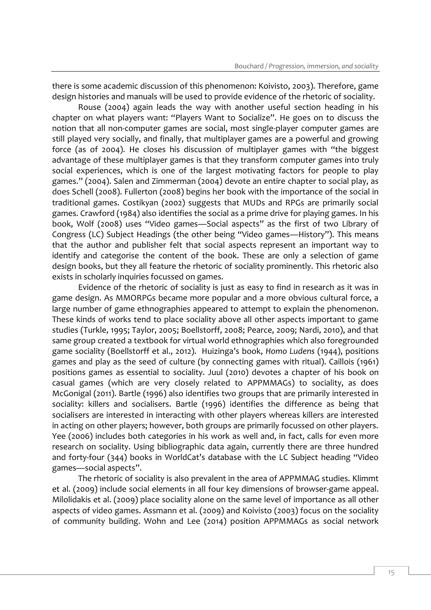there is some academic discussion of this phenomenon: Koivisto, 2003). Therefore, game design histories and manuals will be used to provide evidence of the rhetoric of sociality.

Rouse (2004) again leads the way with another useful section heading in his chapter on what players want: "Players Want to Socialize". He goes on to discuss the notion that all non-computer games are social, most single-player computer games are still played very socially, and finally, that multiplayer games are a powerful and growing force (as of 2004). He closes his discussion of multiplayer games with "the biggest advantage of these multiplayer games is that they transform computer games into truly social experiences, which is one of the largest motivating factors for people to play games." (2004). Salen and Zimmerman (2004) devote an entire chapter to social play, as does Schell (2008). Fullerton (2008) begins her book with the importance of the social in traditional games. Costikyan (2002) suggests that MUDs and RPGs are primarily social games. Crawford (1984) also identifies the social as a prime drive for playing games. In his book, Wolf (2008) uses "Video games—Social aspects" as the first of two Library of Congress (LC) Subject Headings (the other being "Video games—History"). This means that the author and publisher felt that social aspects represent an important way to identify and categorise the content of the book. These are only a selection of game design books, but they all feature the rhetoric of sociality prominently. This rhetoric also exists in scholarly inquiries focussed on games.

Evidence of the rhetoric of sociality is just as easy to find in research as it was in game design. As MMORPGs became more popular and a more obvious cultural force, a large number of game ethnographies appeared to attempt to explain the phenomenon. These kinds of works tend to place sociality above all other aspects important to game studies (Turkle, 1995; Taylor, 2005; Boellstorff, 2008; Pearce, 2009; Nardi, 2010), and that same group created a textbook for virtual world ethnographies which also foregrounded game sociality (Boellstorff et al., 2012). Huizinga's book, *Homo Ludens* (1944), positions games and play as the seed of culture (by connecting games with ritual). Caillois (1961) positions games as essential to sociality. Juul (2010) devotes a chapter of his book on casual games (which are very closely related to APPMMAGs) to sociality, as does McGonigal (2011). Bartle (1996) also identifies two groups that are primarily interested in sociality: killers and socialisers. Bartle (1996) identifies the difference as being that socialisers are interested in interacting with other players whereas killers are interested in acting on other players; however, both groups are primarily focussed on other players. Yee (2006) includes both categories in his work as well and, in fact, calls for even more research on sociality. Using bibliographic data again, currently there are three hundred and forty-four (344) books in WorldCat's database with the LC Subject heading "Video games—social aspects".

The rhetoric of sociality is also prevalent in the area of APPMMAG studies. Klimmt et al. (2009) include social elements in all four key dimensions of browser-game appeal. Milolidakis et al. (2009) place sociality alone on the same level of importance as all other aspects of video games. Assmann et al. (2009) and Koivisto (2003) focus on the sociality of community building. Wohn and Lee (2014) position APPMMAGs as social network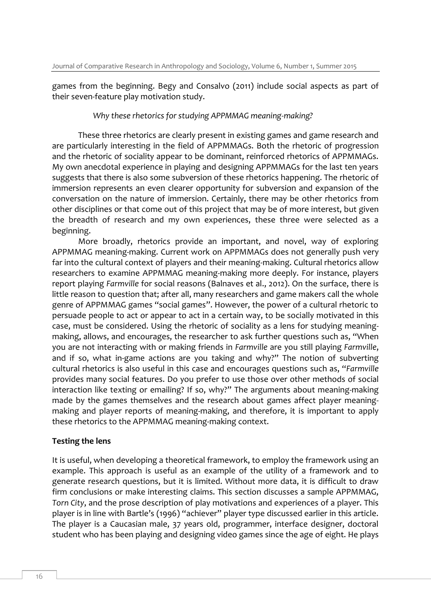games from the beginning. Begy and Consalvo (2011) include social aspects as part of their seven-feature play motivation study.

#### *Why these rhetorics for studying APPMMAG meaning-making?*

These three rhetorics are clearly present in existing games and game research and are particularly interesting in the field of APPMMAGs. Both the rhetoric of progression and the rhetoric of sociality appear to be dominant, reinforced rhetorics of APPMMAGs. My own anecdotal experience in playing and designing APPMMAGs for the last ten years suggests that there is also some subversion of these rhetorics happening. The rhetoric of immersion represents an even clearer opportunity for subversion and expansion of the conversation on the nature of immersion. Certainly, there may be other rhetorics from other disciplines or that come out of this project that may be of more interest, but given the breadth of research and my own experiences, these three were selected as a beginning.

More broadly, rhetorics provide an important, and novel, way of exploring APPMMAG meaning-making. Current work on APPMMAGs does not generally push very far into the cultural context of players and their meaning-making. Cultural rhetorics allow researchers to examine APPMMAG meaning-making more deeply. For instance, players report playing *Farmville* for social reasons (Balnaves et al., 2012). On the surface, there is little reason to question that; after all, many researchers and game makers call the whole genre of APPMMAG games "social games". However, the power of a cultural rhetoric to persuade people to act or appear to act in a certain way, to be socially motivated in this case, must be considered. Using the rhetoric of sociality as a lens for studying meaningmaking, allows, and encourages, the researcher to ask further questions such as, "When you are not interacting with or making friends in *Farmville* are you still playing *Farmville*, and if so, what in-game actions are you taking and why?" The notion of subverting cultural rhetorics is also useful in this case and encourages questions such as, "*Farmville* provides many social features. Do you prefer to use those over other methods of social interaction like texting or emailing? If so, why?" The arguments about meaning-making made by the games themselves and the research about games affect player meaningmaking and player reports of meaning-making, and therefore, it is important to apply these rhetorics to the APPMMAG meaning-making context.

#### **Testing the lens**

It is useful, when developing a theoretical framework, to employ the framework using an example. This approach is useful as an example of the utility of a framework and to generate research questions, but it is limited. Without more data, it is difficult to draw firm conclusions or make interesting claims. This section discusses a sample APPMMAG, *Torn City*, and the prose description of play motivations and experiences of a player. This player is in line with Bartle's (1996) "achiever" player type discussed earlier in this article. The player is a Caucasian male, 37 years old, programmer, interface designer, doctoral student who has been playing and designing video games since the age of eight. He plays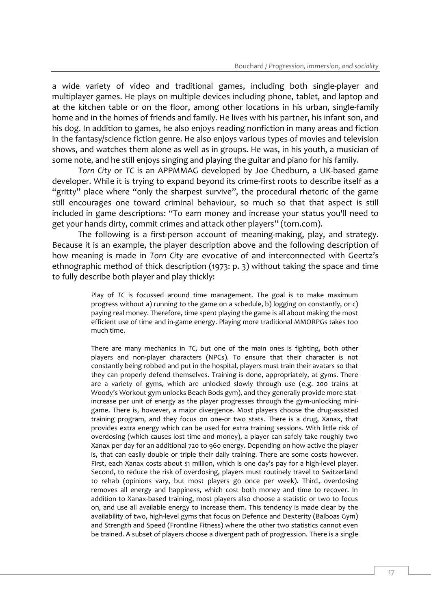a wide variety of video and traditional games, including both single-player and multiplayer games. He plays on multiple devices including phone, tablet, and laptop and at the kitchen table or on the floor, among other locations in his urban, single-family home and in the homes of friends and family. He lives with his partner, his infant son, and his dog. In addition to games, he also enjoys reading nonfiction in many areas and fiction in the fantasy/science fiction genre. He also enjoys various types of movies and television shows, and watches them alone as well as in groups. He was, in his youth, a musician of some note, and he still enjoys singing and playing the guitar and piano for his family.

*Torn City* or *TC* is an APPMMAG developed by Joe Chedburn, a UK-based game developer. While it is trying to expand beyond its crime-first roots to describe itself as a "gritty" place where "only the sharpest survive", the procedural rhetoric of the game still encourages one toward criminal behaviour, so much so that that aspect is still included in game descriptions: "To earn money and increase your status you'll need to get your hands dirty, commit crimes and attack other players" (torn.com).

The following is a first-person account of meaning-making, play, and strategy. Because it is an example, the player description above and the following description of how meaning is made in *Torn City* are evocative of and interconnected with Geertz's ethnographic method of thick description (1973: p. 3) without taking the space and time to fully describe both player and play thickly:

> Play of *TC* is focussed around time management. The goal is to make maximum progress without a) running to the game on a schedule, b) logging on constantly, or c) paying real money. Therefore, time spent playing the game is all about making the most efficient use of time and in-game energy. Playing more traditional MMORPGs takes too much time.

> There are many mechanics in *TC*, but one of the main ones is fighting, both other players and non-player characters (NPCs). To ensure that their character is not constantly being robbed and put in the hospital, players must train their avatars so that they can properly defend themselves. Training is done, appropriately, at gyms. There are a variety of gyms, which are unlocked slowly through use (e.g. 200 trains at Woody's Workout gym unlocks Beach Bods gym), and they generally provide more statincrease per unit of energy as the player progresses through the gym-unlocking minigame. There is, however, a major divergence. Most players choose the drug-assisted training program, and they focus on one-or two stats. There is a drug, Xanax, that provides extra energy which can be used for extra training sessions. With little risk of overdosing (which causes lost time and money), a player can safely take roughly two Xanax per day for an additional 720 to 960 energy. Depending on how active the player is, that can easily double or triple their daily training. There are some costs however. First, each Xanax costs about \$1 million, which is one day's pay for a high-level player. Second, to reduce the risk of overdosing, players must routinely travel to Switzerland to rehab (opinions vary, but most players go once per week). Third, overdosing removes all energy and happiness, which cost both money and time to recover. In addition to Xanax-based training, most players also choose a statistic or two to focus on, and use all available energy to increase them. This tendency is made clear by the availability of two, high-level gyms that focus on Defence and Dexterity (Balboas Gym) and Strength and Speed (Frontline Fitness) where the other two statistics cannot even be trained. A subset of players choose a divergent path of progression. There is a single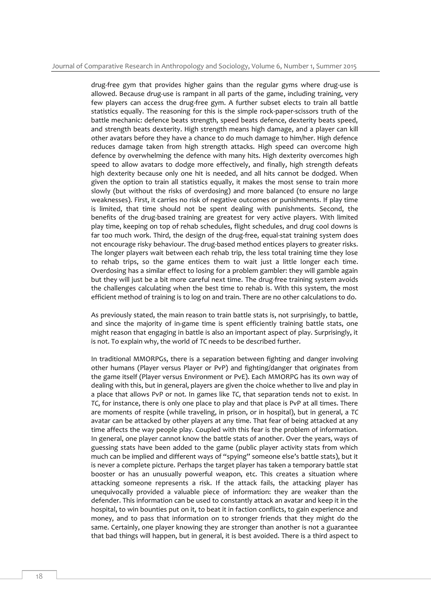drug-free gym that provides higher gains than the regular gyms where drug-use is allowed. Because drug-use is rampant in all parts of the game, including training, very few players can access the drug-free gym. A further subset elects to train all battle statistics equally. The reasoning for this is the simple rock-paper-scissors truth of the battle mechanic: defence beats strength, speed beats defence, dexterity beats speed, and strength beats dexterity. High strength means high damage, and a player can kill other avatars before they have a chance to do much damage to him/her. High defence reduces damage taken from high strength attacks. High speed can overcome high defence by overwhelming the defence with many hits. High dexterity overcomes high speed to allow avatars to dodge more effectively, and finally, high strength defeats high dexterity because only one hit is needed, and all hits cannot be dodged. When given the option to train all statistics equally, it makes the most sense to train more slowly (but without the risks of overdosing) and more balanced (to ensure no large weaknesses). First, it carries no risk of negative outcomes or punishments. If play time is limited, that time should not be spent dealing with punishments. Second, the benefits of the drug-based training are greatest for very active players. With limited play time, keeping on top of rehab schedules, flight schedules, and drug cool downs is far too much work. Third, the design of the drug-free, equal-stat training system does not encourage risky behaviour. The drug-based method entices players to greater risks. The longer players wait between each rehab trip, the less total training time they lose to rehab trips, so the game entices them to wait just a little longer each time. Overdosing has a similar effect to losing for a problem gambler: they will gamble again but they will just be a bit more careful next time. The drug-free training system avoids the challenges calculating when the best time to rehab is. With this system, the most efficient method of training is to log on and train. There are no other calculations to do.

As previously stated, the main reason to train battle stats is, not surprisingly, to battle, and since the majority of in-game time is spent efficiently training battle stats, one might reason that engaging in battle is also an important aspect of play. Surprisingly, it is not. To explain why, the world of *TC* needs to be described further.

In traditional MMORPGs, there is a separation between fighting and danger involving other humans (Player versus Player or PvP) and fighting/danger that originates from the game itself (Player versus Environment or PvE). Each MMORPG has its own way of dealing with this, but in general, players are given the choice whether to live and play in a place that allows PvP or not. In games like *TC*, that separation tends not to exist. In *TC*, for instance, there is only one place to play and that place is PvP at all times. There are moments of respite (while traveling, in prison, or in hospital), but in general, a *TC* avatar can be attacked by other players at any time. That fear of being attacked at any time affects the way people play. Coupled with this fear is the problem of information. In general, one player cannot know the battle stats of another. Over the years, ways of guessing stats have been added to the game (public player activity stats from which much can be implied and different ways of "spying" someone else's battle stats), but it is never a complete picture. Perhaps the target player has taken a temporary battle stat booster or has an unusually powerful weapon, etc. This creates a situation where attacking someone represents a risk. If the attack fails, the attacking player has unequivocally provided a valuable piece of information: they are weaker than the defender. This information can be used to constantly attack an avatar and keep it in the hospital, to win bounties put on it, to beat it in faction conflicts, to gain experience and money, and to pass that information on to stronger friends that they might do the same. Certainly, one player knowing they are stronger than another is not a guarantee that bad things will happen, but in general, it is best avoided. There is a third aspect to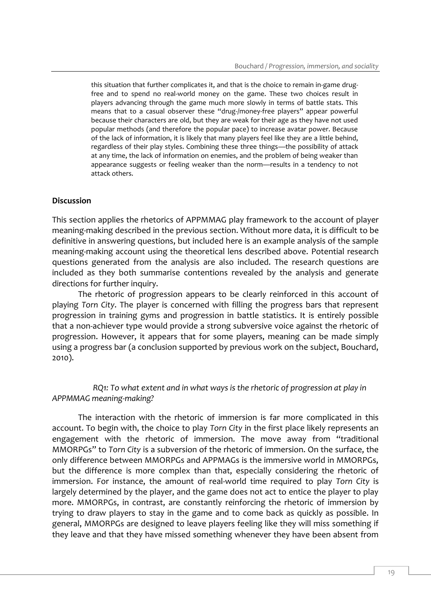this situation that further complicates it, and that is the choice to remain in-game drugfree and to spend no real-world money on the game. These two choices result in players advancing through the game much more slowly in terms of battle stats. This means that to a casual observer these "drug-/money-free players" appear powerful because their characters are old, but they are weak for their age as they have not used popular methods (and therefore the popular pace) to increase avatar power. Because of the lack of information, it is likely that many players feel like they are a little behind, regardless of their play styles. Combining these three things—the possibility of attack at any time, the lack of information on enemies, and the problem of being weaker than appearance suggests or feeling weaker than the norm—results in a tendency to not attack others.

#### **Discussion**

This section applies the rhetorics of APPMMAG play framework to the account of player meaning-making described in the previous section. Without more data, it is difficult to be definitive in answering questions, but included here is an example analysis of the sample meaning-making account using the theoretical lens described above. Potential research questions generated from the analysis are also included. The research questions are included as they both summarise contentions revealed by the analysis and generate directions for further inquiry.

The rhetoric of progression appears to be clearly reinforced in this account of playing *Torn City*. The player is concerned with filling the progress bars that represent progression in training gyms and progression in battle statistics. It is entirely possible that a non-achiever type would provide a strong subversive voice against the rhetoric of progression. However, it appears that for some players, meaning can be made simply using a progress bar (a conclusion supported by previous work on the subject, Bouchard, 2010).

*RQ1: To what extent and in what ways is the rhetoric of progression at play in APPMMAG meaning-making?*

The interaction with the rhetoric of immersion is far more complicated in this account. To begin with, the choice to play *Torn City* in the first place likely represents an engagement with the rhetoric of immersion. The move away from "traditional MMORPGs" to *Torn City* is a subversion of the rhetoric of immersion. On the surface, the only difference between MMORPGs and APPMAGs is the immersive world in MMORPGs, but the difference is more complex than that, especially considering the rhetoric of immersion. For instance, the amount of real-world time required to play *Torn City* is largely determined by the player, and the game does not act to entice the player to play more. MMORPGs, in contrast, are constantly reinforcing the rhetoric of immersion by trying to draw players to stay in the game and to come back as quickly as possible. In general, MMORPGs are designed to leave players feeling like they will miss something if they leave and that they have missed something whenever they have been absent from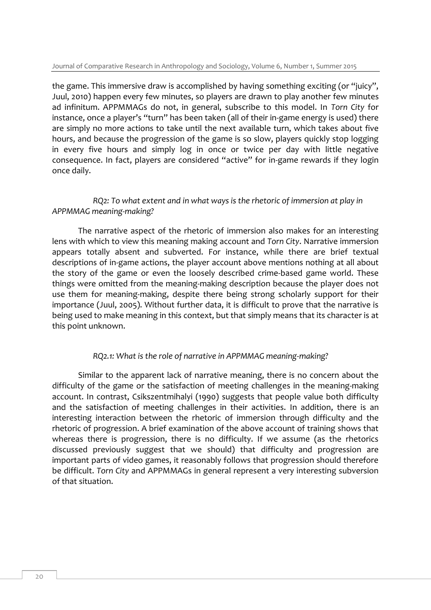the game. This immersive draw is accomplished by having something exciting (or "juicy", Juul, 2010) happen every few minutes, so players are drawn to play another few minutes ad infinitum. APPMMAGs do not, in general, subscribe to this model. In *Torn City* for instance, once a player's "turn" has been taken (all of their in-game energy is used) there are simply no more actions to take until the next available turn, which takes about five hours, and because the progression of the game is so slow, players quickly stop logging in every five hours and simply log in once or twice per day with little negative consequence. In fact, players are considered "active" for in-game rewards if they login once daily.

### *RQ2: To what extent and in what ways is the rhetoric of immersion at play in APPMMAG meaning-making?*

The narrative aspect of the rhetoric of immersion also makes for an interesting lens with which to view this meaning making account and *Torn City*. Narrative immersion appears totally absent and subverted. For instance, while there are brief textual descriptions of in-game actions, the player account above mentions nothing at all about the story of the game or even the loosely described crime-based game world. These things were omitted from the meaning-making description because the player does not use them for meaning-making, despite there being strong scholarly support for their importance (Juul, 2005). Without further data, it is difficult to prove that the narrative is being used to make meaning in this context, but that simply means that its character is at this point unknown.

## *RQ2.1: What is the role of narrative in APPMMAG meaning-making?*

Similar to the apparent lack of narrative meaning, there is no concern about the difficulty of the game or the satisfaction of meeting challenges in the meaning-making account. In contrast, Csikszentmihalyi (1990) suggests that people value both difficulty and the satisfaction of meeting challenges in their activities. In addition, there is an interesting interaction between the rhetoric of immersion through difficulty and the rhetoric of progression. A brief examination of the above account of training shows that whereas there is progression, there is no difficulty. If we assume (as the rhetorics discussed previously suggest that we should) that difficulty and progression are important parts of video games, it reasonably follows that progression should therefore be difficult. *Torn City* and APPMMAGs in general represent a very interesting subversion of that situation.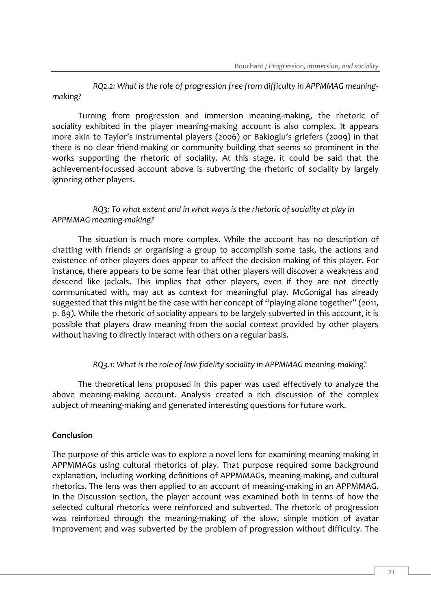*RQ2.2: What is the role of progression free from difficulty in APPMMAG meaningmaking?*

Turning from progression and immersion meaning-making, the rhetoric of sociality exhibited in the player meaning-making account is also complex. It appears more akin to Taylor's instrumental players (2006) or Bakioglu's griefers (2009) in that there is no clear friend-making or community building that seems so prominent in the works supporting the rhetoric of sociality. At this stage, it could be said that the achievement-focussed account above is subverting the rhetoric of sociality by largely ignoring other players.

## *RQ3: To what extent and in what ways is the rhetoric of sociality at play in APPMMAG meaning-making?*

The situation is much more complex. While the account has no description of chatting with friends or organising a group to accomplish some task, the actions and existence of other players does appear to affect the decision-making of this player. For instance, there appears to be some fear that other players will discover a weakness and descend like jackals. This implies that other players, even if they are not directly communicated with, may act as context for meaningful play. McGonigal has already suggested that this might be the case with her concept of "playing alone together" (2011, p. 89). While the rhetoric of sociality appears to be largely subverted in this account, it is possible that players draw meaning from the social context provided by other players without having to directly interact with others on a regular basis.

# *RQ3.1: What is the role of low-fidelity sociality in APPMMAG meaning-making?*

The theoretical lens proposed in this paper was used effectively to analyze the above meaning-making account. Analysis created a rich discussion of the complex subject of meaning-making and generated interesting questions for future work.

## **Conclusion**

The purpose of this article was to explore a novel lens for examining meaning-making in APPMMAGs using cultural rhetorics of play. That purpose required some background explanation, including working definitions of APPMMAGs, meaning-making, and cultural rhetorics. The lens was then applied to an account of meaning-making in an APPMMAG. In the Discussion section, the player account was examined both in terms of how the selected cultural rhetorics were reinforced and subverted. The rhetoric of progression was reinforced through the meaning-making of the slow, simple motion of avatar improvement and was subverted by the problem of progression without difficulty. The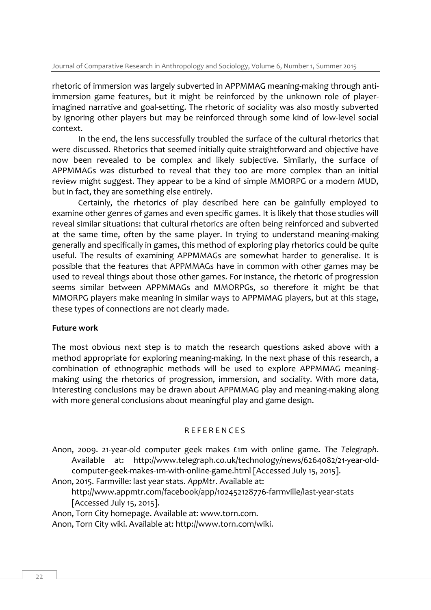rhetoric of immersion was largely subverted in APPMMAG meaning-making through antiimmersion game features, but it might be reinforced by the unknown role of playerimagined narrative and goal-setting. The rhetoric of sociality was also mostly subverted by ignoring other players but may be reinforced through some kind of low-level social context.

In the end, the lens successfully troubled the surface of the cultural rhetorics that were discussed. Rhetorics that seemed initially quite straightforward and objective have now been revealed to be complex and likely subjective. Similarly, the surface of APPMMAGs was disturbed to reveal that they too are more complex than an initial review might suggest. They appear to be a kind of simple MMORPG or a modern MUD, but in fact, they are something else entirely.

Certainly, the rhetorics of play described here can be gainfully employed to examine other genres of games and even specific games. It is likely that those studies will reveal similar situations: that cultural rhetorics are often being reinforced and subverted at the same time, often by the same player. In trying to understand meaning-making generally and specifically in games, this method of exploring play rhetorics could be quite useful. The results of examining APPMMAGs are somewhat harder to generalise. It is possible that the features that APPMMAGs have in common with other games may be used to reveal things about those other games. For instance, the rhetoric of progression seems similar between APPMMAGs and MMORPGs, so therefore it might be that MMORPG players make meaning in similar ways to APPMMAG players, but at this stage, these types of connections are not clearly made.

#### **Future work**

The most obvious next step is to match the research questions asked above with a method appropriate for exploring meaning-making. In the next phase of this research, a combination of ethnographic methods will be used to explore APPMMAG meaningmaking using the rhetorics of progression, immersion, and sociality. With more data, interesting conclusions may be drawn about APPMMAG play and meaning-making along with more general conclusions about meaningful play and game design.

#### R E F E R E N C E S

Anon, 2009. 21-year-old computer geek makes £1m with online game. *The Telegraph*. Available at: http://www.telegraph.co.uk/technology/news/6264082/21-year-oldcomputer-geek-makes-1m-with-online-game.html [Accessed July 15, 2015].

Anon, 2015. Farmville: last year stats. *AppMtr*. Available at:

http://www.appmtr.com/facebook/app/102452128776-farmville/last-year-stats [Accessed July 15, 2015].

Anon, Torn City homepage. Available at: www.torn.com.

Anon, Torn City wiki. Available at: http://www.torn.com/wiki.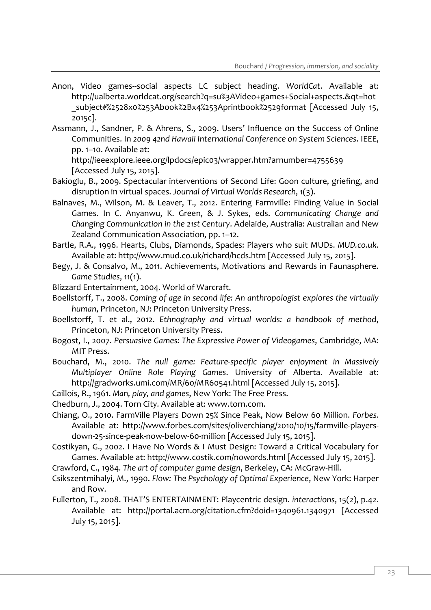- Anon, Video games--social aspects LC subject heading. *WorldCat*. Available at: http://ualberta.worldcat.org/search?q=su%3AVideo+games+Social+aspects.&qt=hot \_subject#%2528x0%253Abook%2Bx4%253Aprintbook%2529format [Accessed July 15, 2015c].
- Assmann, J., Sandner, P. & Ahrens, S., 2009. Users' Influence on the Success of Online Communities. In *2009 42nd Hawaii International Conference on System Sciences*. IEEE, pp. 1–10. Available at:

http://ieeexplore.ieee.org/lpdocs/epic03/wrapper.htm?arnumber=4755639 [Accessed July 15, 2015].

- Bakioglu, B., 2009. Spectacular interventions of Second Life: Goon culture, griefing, and disruption in virtual spaces. *Journal of Virtual Worlds Research*, 1(3).
- Balnaves, M., Wilson, M. & Leaver, T., 2012. Entering Farmville: Finding Value in Social Games. In C. Anyanwu, K. Green, & J. Sykes, eds. *Communicating Change and Changing Communication in the 21st Century*. Adelaide, Australia: Australian and New Zealand Communication Association, pp. 1–12.
- Bartle, R.A., 1996. Hearts, Clubs, Diamonds, Spades: Players who suit MUDs. *MUD.co.uk*. Available at: http://www.mud.co.uk/richard/hcds.htm [Accessed July 15, 2015].
- Begy, J. & Consalvo, M., 2011. Achievements, Motivations and Rewards in Faunasphere. *Game Studies*, 11(1).
- Blizzard Entertainment, 2004. World of Warcraft.
- Boellstorff, T., 2008. *Coming of age in second life: An anthropologist explores the virtually human*, Princeton, NJ: Princeton University Press.
- Boellstorff, T. et al., 2012. *Ethnography and virtual worlds: a handbook of method*, Princeton, NJ: Princeton University Press.
- Bogost, I., 2007. *Persuasive Games: The Expressive Power of Videogames*, Cambridge, MA: MIT Press.
- Bouchard, M., 2010. *The null game: Feature-specific player enjoyment in Massively Multiplayer Online Role Playing Games*. University of Alberta. Available at: http://gradworks.umi.com/MR/60/MR60541.html [Accessed July 15, 2015].
- Caillois, R., 1961. *Man, play, and games*, New York: The Free Press.
- Chedburn, J., 2004. Torn City. Available at: www.torn.com.
- Chiang, O., 2010. FarmVille Players Down 25% Since Peak, Now Below 60 Million. *Forbes*. Available at: http://www.forbes.com/sites/oliverchiang/2010/10/15/farmville-playersdown-25-since-peak-now-below-60-million [Accessed July 15, 2015].
- Costikyan, G., 2002. I Have No Words & I Must Design: Toward a Critical Vocabulary for Games. Available at: http://www.costik.com/nowords.html [Accessed July 15, 2015].
- Crawford, C., 1984. *The art of computer game design*, Berkeley, CA: McGraw-Hill.
- Csikszentmihalyi, M., 1990. *Flow: The Psychology of Optimal Experience*, New York: Harper and Row.
- Fullerton, T., 2008. THAT'S ENTERTAINMENT: Playcentric design. *interactions*, 15(2), p.42. Available at: http://portal.acm.org/citation.cfm?doid=1340961.1340971 [Accessed July 15, 2015].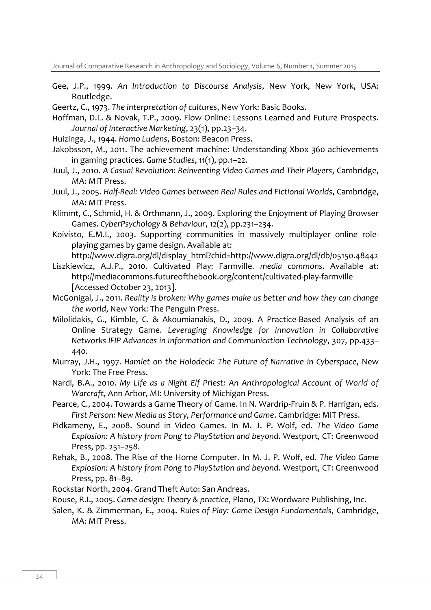- Gee, J.P., 1999. *An Introduction to Discourse Analysis*, New York, New York, USA: Routledge.
- Geertz, C., 1973. *The interpretation of cultures*, New York: Basic Books.
- Hoffman, D.L. & Novak, T.P., 2009. Flow Online: Lessons Learned and Future Prospects. *Journal of Interactive Marketing*, 23(1), pp.23–34.
- Huizinga, J., 1944. *Homo Ludens*, Boston: Beacon Press.
- Jakobsson, M., 2011. The achievement machine: Understanding Xbox 360 achievements in gaming practices. *Game Studies*, 11(1), pp.1–22.
- Juul, J., 2010. *A Casual Revolution: Reinventing Video Games and Their Players*, Cambridge, MA: MIT Press.
- Juul, J., 2005. *Half-Real: Video Games between Real Rules and Fictional Worlds*, Cambridge, MA: MIT Press.
- Klimmt, C., Schmid, H. & Orthmann, J., 2009. Exploring the Enjoyment of Playing Browser Games. *CyberPsychology & Behaviour*, 12(2), pp.231–234.
- Koivisto, E.M.I., 2003. Supporting communities in massively multiplayer online roleplaying games by game design. Available at:

http://www.digra.org/dl/display\_html?chid=http://www.digra.org/dl/db/05150.48442 Liszkiewicz, A.J.P., 2010. Cultivated Play: Farmville. *media commons*. Available at:

- http://mediacommons.futureofthebook.org/content/cultivated-play-farmville [Accessed October 23, 2013].
- McGonigal, J., 2011. *Reality is broken: Why games make us better and how they can change the world*, New York: The Penguin Press.
- Milolidakis, G., Kimble, C. & Akoumianakis, D., 2009. A Practice-Based Analysis of an Online Strategy Game. *Leveraging Knowledge for Innovation in Collaborative Networks IFIP Advances in Information and Communication Technology*, 307, pp.433– 440.
- Murray, J.H., 1997. *Hamlet on the Holodeck: The Future of Narrative in Cyberspace*, New York: The Free Press.
- Nardi, B.A., 2010. *My Life as a Night Elf Priest: An Anthropological Account of World of Warcraft*, Ann Arbor, MI: University of Michigan Press.
- Pearce, C., 2004. Towards a Game Theory of Game. In N. Wardrip-Fruin & P. Harrigan, eds. *First Person: New Media as Story, Performance and Game*. Cambridge: MIT Press.
- Pidkameny, E., 2008. Sound in Video Games. In M. J. P. Wolf, ed. *The Video Game Explosion: A history from Pong to PlayStation and beyond*. Westport, CT: Greenwood Press, pp. 251–258.
- Rehak, B., 2008. The Rise of the Home Computer. In M. J. P. Wolf, ed. *The Video Game Explosion: A history from Pong to PlayStation and beyond*. Westport, CT: Greenwood Press, pp. 81–89.

Rockstar North, 2004. Grand Theft Auto: San Andreas.

Rouse, R.I., 2005. *Game design: Theory & practice*, Plano, TX: Wordware Publishing, Inc.

Salen, K. & Zimmerman, E., 2004. *Rules of Play: Game Design Fundamentals*, Cambridge, MA: MIT Press.